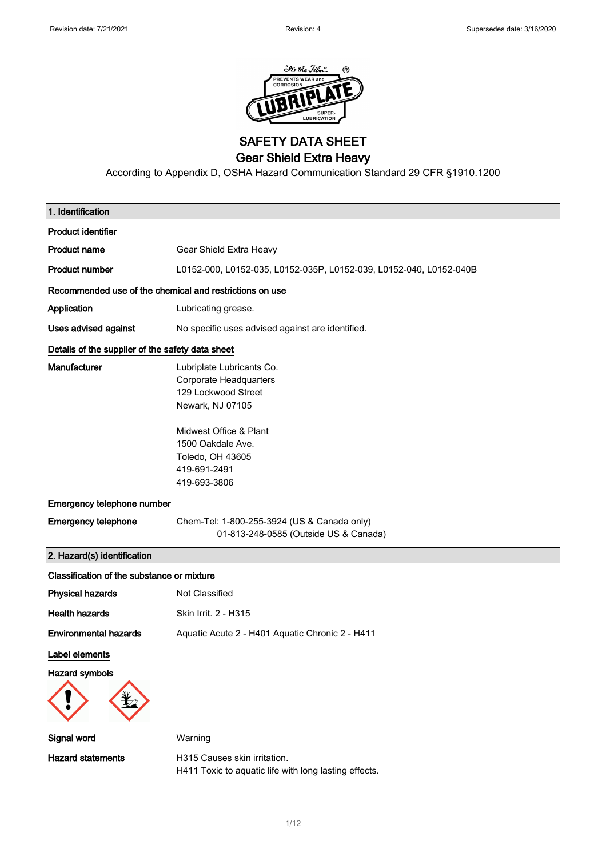

SAFETY DATA SHEET

Gear Shield Extra Heavy

According to Appendix D, OSHA Hazard Communication Standard 29 CFR §1910.1200

| 1. Identification                                       |                                                                                                                                                                                                          |  |
|---------------------------------------------------------|----------------------------------------------------------------------------------------------------------------------------------------------------------------------------------------------------------|--|
| <b>Product identifier</b>                               |                                                                                                                                                                                                          |  |
| <b>Product name</b>                                     | Gear Shield Extra Heavy                                                                                                                                                                                  |  |
| <b>Product number</b>                                   | L0152-000, L0152-035, L0152-035P, L0152-039, L0152-040, L0152-040B                                                                                                                                       |  |
| Recommended use of the chemical and restrictions on use |                                                                                                                                                                                                          |  |
| Application                                             | Lubricating grease.                                                                                                                                                                                      |  |
| Uses advised against                                    | No specific uses advised against are identified.                                                                                                                                                         |  |
| Details of the supplier of the safety data sheet        |                                                                                                                                                                                                          |  |
| Manufacturer                                            | Lubriplate Lubricants Co.<br><b>Corporate Headquarters</b><br>129 Lockwood Street<br>Newark, NJ 07105<br>Midwest Office & Plant<br>1500 Oakdale Ave.<br>Toledo, OH 43605<br>419-691-2491<br>419-693-3806 |  |
| Emergency telephone number                              |                                                                                                                                                                                                          |  |
| <b>Emergency telephone</b>                              | Chem-Tel: 1-800-255-3924 (US & Canada only)<br>01-813-248-0585 (Outside US & Canada)                                                                                                                     |  |
| 2. Hazard(s) identification                             |                                                                                                                                                                                                          |  |
| Classification of the substance or mixture              |                                                                                                                                                                                                          |  |
| <b>Physical hazards</b>                                 | Not Classified                                                                                                                                                                                           |  |
| <b>Health hazards</b>                                   | Skin Irrit. 2 - H315                                                                                                                                                                                     |  |
| <b>Environmental hazards</b>                            | Aquatic Acute 2 - H401 Aquatic Chronic 2 - H411                                                                                                                                                          |  |
| Label elements<br><b>Hazard symbols</b>                 |                                                                                                                                                                                                          |  |
| Signal word                                             | Warning                                                                                                                                                                                                  |  |
| <b>Hazard statements</b>                                | H315 Causes skin irritation.<br>H411 Toxic to aquatic life with long lasting effects.                                                                                                                    |  |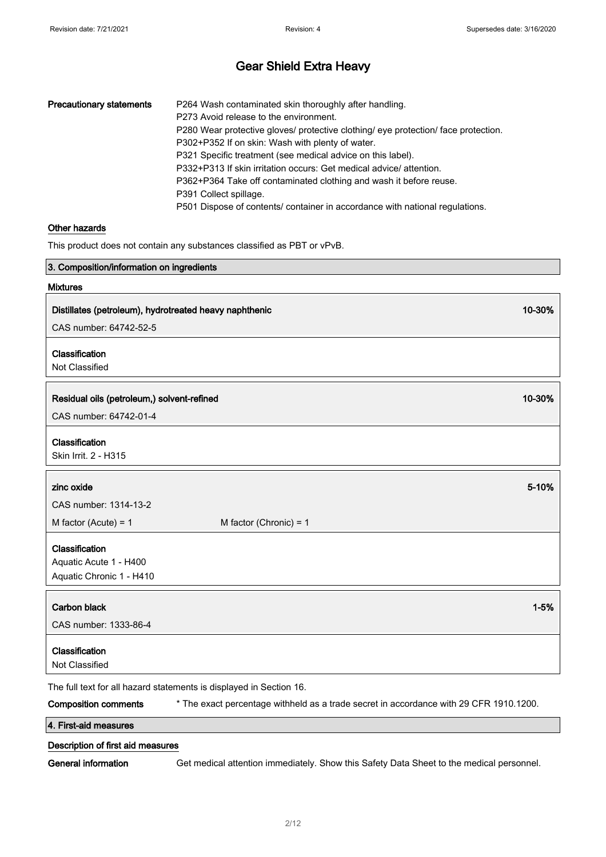| <b>Precautionary statements</b> | P264 Wash contaminated skin thoroughly after handling.                             |
|---------------------------------|------------------------------------------------------------------------------------|
|                                 | P273 Avoid release to the environment.                                             |
|                                 | P280 Wear protective gloves/ protective clothing/ eye protection/ face protection. |
|                                 | P302+P352 If on skin: Wash with plenty of water.                                   |
|                                 | P321 Specific treatment (see medical advice on this label).                        |
|                                 | P332+P313 If skin irritation occurs: Get medical advice/ attention.                |
|                                 | P362+P364 Take off contaminated clothing and wash it before reuse.                 |
|                                 | P391 Collect spillage.                                                             |
|                                 | P501 Dispose of contents/ container in accordance with national regulations.       |

#### Other hazards

This product does not contain any substances classified as PBT or vPvB.

| 3. Composition/information on ingredients              |                                                                                        |          |
|--------------------------------------------------------|----------------------------------------------------------------------------------------|----------|
| <b>Mixtures</b>                                        |                                                                                        |          |
| Distillates (petroleum), hydrotreated heavy naphthenic | 10-30%                                                                                 |          |
| CAS number: 64742-52-5                                 |                                                                                        |          |
|                                                        |                                                                                        |          |
| Classification                                         |                                                                                        |          |
| Not Classified                                         |                                                                                        |          |
| Residual oils (petroleum,) solvent-refined             | 10-30%                                                                                 |          |
| CAS number: 64742-01-4                                 |                                                                                        |          |
|                                                        |                                                                                        |          |
| Classification                                         |                                                                                        |          |
| Skin Irrit. 2 - H315                                   |                                                                                        |          |
| zinc oxide                                             |                                                                                        | 5-10%    |
| CAS number: 1314-13-2                                  |                                                                                        |          |
| M factor (Acute) = $1$                                 | M factor (Chronic) = $1$                                                               |          |
| Classification                                         |                                                                                        |          |
| Aquatic Acute 1 - H400                                 |                                                                                        |          |
| Aquatic Chronic 1 - H410                               |                                                                                        |          |
|                                                        |                                                                                        | $1 - 5%$ |
| <b>Carbon black</b>                                    |                                                                                        |          |
| CAS number: 1333-86-4                                  |                                                                                        |          |
| Classification                                         |                                                                                        |          |
| Not Classified                                         |                                                                                        |          |
|                                                        | The full text for all hazard statements is displayed in Section 16.                    |          |
| <b>Composition comments</b>                            | * The exact percentage withheld as a trade secret in accordance with 29 CFR 1910.1200. |          |
| 4. First-aid measures                                  |                                                                                        |          |

#### Description of first aid measures

General information Get medical attention immediately. Show this Safety Data Sheet to the medical personnel.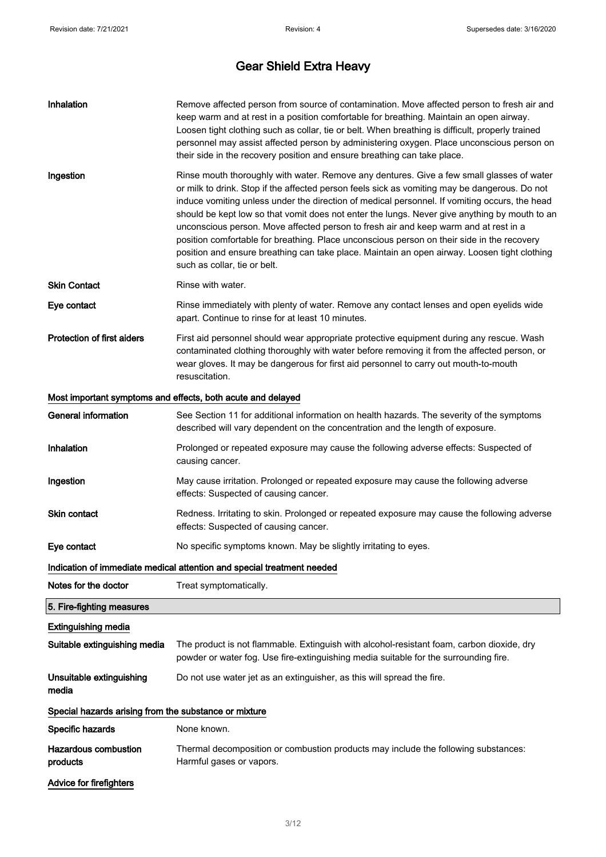| Inhalation                                            | Remove affected person from source of contamination. Move affected person to fresh air and<br>keep warm and at rest in a position comfortable for breathing. Maintain an open airway.<br>Loosen tight clothing such as collar, tie or belt. When breathing is difficult, properly trained<br>personnel may assist affected person by administering oxygen. Place unconscious person on<br>their side in the recovery position and ensure breathing can take place.                                                                                                                                                                                                                                                 |  |  |
|-------------------------------------------------------|--------------------------------------------------------------------------------------------------------------------------------------------------------------------------------------------------------------------------------------------------------------------------------------------------------------------------------------------------------------------------------------------------------------------------------------------------------------------------------------------------------------------------------------------------------------------------------------------------------------------------------------------------------------------------------------------------------------------|--|--|
| Ingestion                                             | Rinse mouth thoroughly with water. Remove any dentures. Give a few small glasses of water<br>or milk to drink. Stop if the affected person feels sick as vomiting may be dangerous. Do not<br>induce vomiting unless under the direction of medical personnel. If vomiting occurs, the head<br>should be kept low so that vomit does not enter the lungs. Never give anything by mouth to an<br>unconscious person. Move affected person to fresh air and keep warm and at rest in a<br>position comfortable for breathing. Place unconscious person on their side in the recovery<br>position and ensure breathing can take place. Maintain an open airway. Loosen tight clothing<br>such as collar, tie or belt. |  |  |
| <b>Skin Contact</b>                                   | Rinse with water.                                                                                                                                                                                                                                                                                                                                                                                                                                                                                                                                                                                                                                                                                                  |  |  |
| Eye contact                                           | Rinse immediately with plenty of water. Remove any contact lenses and open eyelids wide<br>apart. Continue to rinse for at least 10 minutes.                                                                                                                                                                                                                                                                                                                                                                                                                                                                                                                                                                       |  |  |
| <b>Protection of first aiders</b>                     | First aid personnel should wear appropriate protective equipment during any rescue. Wash<br>contaminated clothing thoroughly with water before removing it from the affected person, or<br>wear gloves. It may be dangerous for first aid personnel to carry out mouth-to-mouth<br>resuscitation.                                                                                                                                                                                                                                                                                                                                                                                                                  |  |  |
|                                                       | Most important symptoms and effects, both acute and delayed                                                                                                                                                                                                                                                                                                                                                                                                                                                                                                                                                                                                                                                        |  |  |
| <b>General information</b>                            | See Section 11 for additional information on health hazards. The severity of the symptoms<br>described will vary dependent on the concentration and the length of exposure.                                                                                                                                                                                                                                                                                                                                                                                                                                                                                                                                        |  |  |
| Inhalation                                            | Prolonged or repeated exposure may cause the following adverse effects: Suspected of<br>causing cancer.                                                                                                                                                                                                                                                                                                                                                                                                                                                                                                                                                                                                            |  |  |
| Ingestion                                             | May cause irritation. Prolonged or repeated exposure may cause the following adverse<br>effects: Suspected of causing cancer.                                                                                                                                                                                                                                                                                                                                                                                                                                                                                                                                                                                      |  |  |
| Skin contact                                          | Redness. Irritating to skin. Prolonged or repeated exposure may cause the following adverse<br>effects: Suspected of causing cancer.                                                                                                                                                                                                                                                                                                                                                                                                                                                                                                                                                                               |  |  |
| Eye contact                                           | No specific symptoms known. May be slightly irritating to eyes.                                                                                                                                                                                                                                                                                                                                                                                                                                                                                                                                                                                                                                                    |  |  |
|                                                       | Indication of immediate medical attention and special treatment needed                                                                                                                                                                                                                                                                                                                                                                                                                                                                                                                                                                                                                                             |  |  |
| Notes for the doctor                                  | Treat symptomatically.                                                                                                                                                                                                                                                                                                                                                                                                                                                                                                                                                                                                                                                                                             |  |  |
| 5. Fire-fighting measures                             |                                                                                                                                                                                                                                                                                                                                                                                                                                                                                                                                                                                                                                                                                                                    |  |  |
| <b>Extinguishing media</b>                            |                                                                                                                                                                                                                                                                                                                                                                                                                                                                                                                                                                                                                                                                                                                    |  |  |
| Suitable extinguishing media                          | The product is not flammable. Extinguish with alcohol-resistant foam, carbon dioxide, dry<br>powder or water fog. Use fire-extinguishing media suitable for the surrounding fire.                                                                                                                                                                                                                                                                                                                                                                                                                                                                                                                                  |  |  |
| Unsuitable extinguishing<br>media                     | Do not use water jet as an extinguisher, as this will spread the fire.                                                                                                                                                                                                                                                                                                                                                                                                                                                                                                                                                                                                                                             |  |  |
| Special hazards arising from the substance or mixture |                                                                                                                                                                                                                                                                                                                                                                                                                                                                                                                                                                                                                                                                                                                    |  |  |
| Specific hazards                                      | None known.                                                                                                                                                                                                                                                                                                                                                                                                                                                                                                                                                                                                                                                                                                        |  |  |
| <b>Hazardous combustion</b><br>products               | Thermal decomposition or combustion products may include the following substances:<br>Harmful gases or vapors.                                                                                                                                                                                                                                                                                                                                                                                                                                                                                                                                                                                                     |  |  |
| <b>Advice for firefighters</b>                        |                                                                                                                                                                                                                                                                                                                                                                                                                                                                                                                                                                                                                                                                                                                    |  |  |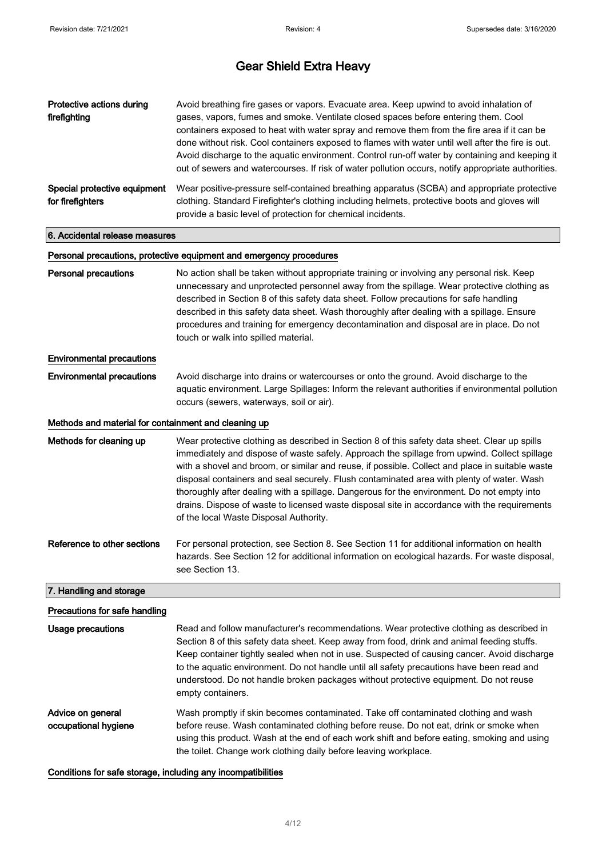| Protective actions during<br>firefighting            | Avoid breathing fire gases or vapors. Evacuate area. Keep upwind to avoid inhalation of<br>gases, vapors, fumes and smoke. Ventilate closed spaces before entering them. Cool<br>containers exposed to heat with water spray and remove them from the fire area if it can be<br>done without risk. Cool containers exposed to flames with water until well after the fire is out.<br>Avoid discharge to the aquatic environment. Control run-off water by containing and keeping it<br>out of sewers and watercourses. If risk of water pollution occurs, notify appropriate authorities.                                             |  |
|------------------------------------------------------|---------------------------------------------------------------------------------------------------------------------------------------------------------------------------------------------------------------------------------------------------------------------------------------------------------------------------------------------------------------------------------------------------------------------------------------------------------------------------------------------------------------------------------------------------------------------------------------------------------------------------------------|--|
| Special protective equipment<br>for firefighters     | Wear positive-pressure self-contained breathing apparatus (SCBA) and appropriate protective<br>clothing. Standard Firefighter's clothing including helmets, protective boots and gloves will<br>provide a basic level of protection for chemical incidents.                                                                                                                                                                                                                                                                                                                                                                           |  |
| 6. Accidental release measures                       |                                                                                                                                                                                                                                                                                                                                                                                                                                                                                                                                                                                                                                       |  |
|                                                      | Personal precautions, protective equipment and emergency procedures                                                                                                                                                                                                                                                                                                                                                                                                                                                                                                                                                                   |  |
| <b>Personal precautions</b>                          | No action shall be taken without appropriate training or involving any personal risk. Keep<br>unnecessary and unprotected personnel away from the spillage. Wear protective clothing as<br>described in Section 8 of this safety data sheet. Follow precautions for safe handling<br>described in this safety data sheet. Wash thoroughly after dealing with a spillage. Ensure<br>procedures and training for emergency decontamination and disposal are in place. Do not<br>touch or walk into spilled material.                                                                                                                    |  |
| <b>Environmental precautions</b>                     |                                                                                                                                                                                                                                                                                                                                                                                                                                                                                                                                                                                                                                       |  |
| <b>Environmental precautions</b>                     | Avoid discharge into drains or watercourses or onto the ground. Avoid discharge to the<br>aquatic environment. Large Spillages: Inform the relevant authorities if environmental pollution<br>occurs (sewers, waterways, soil or air).                                                                                                                                                                                                                                                                                                                                                                                                |  |
| Methods and material for containment and cleaning up |                                                                                                                                                                                                                                                                                                                                                                                                                                                                                                                                                                                                                                       |  |
| Methods for cleaning up                              | Wear protective clothing as described in Section 8 of this safety data sheet. Clear up spills<br>immediately and dispose of waste safely. Approach the spillage from upwind. Collect spillage<br>with a shovel and broom, or similar and reuse, if possible. Collect and place in suitable waste<br>disposal containers and seal securely. Flush contaminated area with plenty of water. Wash<br>thoroughly after dealing with a spillage. Dangerous for the environment. Do not empty into<br>drains. Dispose of waste to licensed waste disposal site in accordance with the requirements<br>of the local Waste Disposal Authority. |  |
| Reference to other sections                          | For personal protection, see Section 8, See Section 11 for additional information on health<br>hazards. See Section 12 for additional information on ecological hazards. For waste disposal,<br>see Section 13.                                                                                                                                                                                                                                                                                                                                                                                                                       |  |
| 7. Handling and storage                              |                                                                                                                                                                                                                                                                                                                                                                                                                                                                                                                                                                                                                                       |  |
| Precautions for safe handling                        |                                                                                                                                                                                                                                                                                                                                                                                                                                                                                                                                                                                                                                       |  |
| <b>Usage precautions</b>                             | Read and follow manufacturer's recommendations. Wear protective clothing as described in<br>Section 8 of this safety data sheet. Keep away from food, drink and animal feeding stuffs.<br>Keep container tightly sealed when not in use. Suspected of causing cancer. Avoid discharge<br>to the aquatic environment. Do not handle until all safety precautions have been read and<br>understood. Do not handle broken packages without protective equipment. Do not reuse<br>empty containers.                                                                                                                                       |  |
| Advice on general<br>occupational hygiene            | Wash promptly if skin becomes contaminated. Take off contaminated clothing and wash<br>before reuse. Wash contaminated clothing before reuse. Do not eat, drink or smoke when                                                                                                                                                                                                                                                                                                                                                                                                                                                         |  |

#### Conditions for safe storage, including any incompatibilities

the toilet. Change work clothing daily before leaving workplace.

using this product. Wash at the end of each work shift and before eating, smoking and using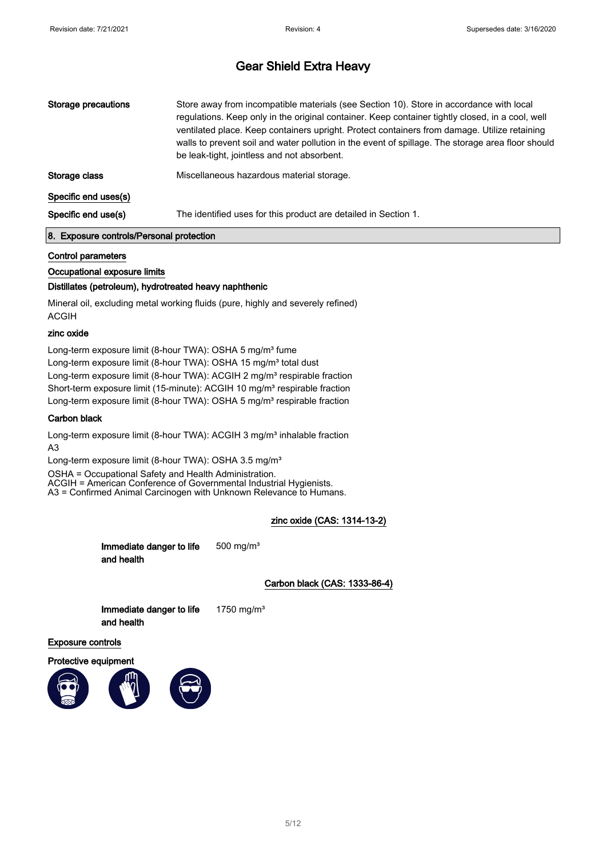| Storage precautions  | Store away from incompatible materials (see Section 10). Store in accordance with local<br>regulations. Keep only in the original container. Keep container tightly closed, in a cool, well<br>ventilated place. Keep containers upright. Protect containers from damage. Utilize retaining<br>walls to prevent soil and water pollution in the event of spillage. The storage area floor should<br>be leak-tight, jointless and not absorbent. |  |
|----------------------|-------------------------------------------------------------------------------------------------------------------------------------------------------------------------------------------------------------------------------------------------------------------------------------------------------------------------------------------------------------------------------------------------------------------------------------------------|--|
| Storage class        | Miscellaneous hazardous material storage.                                                                                                                                                                                                                                                                                                                                                                                                       |  |
| Specific end uses(s) |                                                                                                                                                                                                                                                                                                                                                                                                                                                 |  |
| Specific end use(s)  | The identified uses for this product are detailed in Section 1.                                                                                                                                                                                                                                                                                                                                                                                 |  |

#### 8. Exposure controls/Personal protection

#### Control parameters

#### Occupational exposure limits

#### Distillates (petroleum), hydrotreated heavy naphthenic

Mineral oil, excluding metal working fluids (pure, highly and severely refined) ACGIH

#### zinc oxide

Long-term exposure limit (8-hour TWA): OSHA 5 mg/m<sup>3</sup> fume Long-term exposure limit (8-hour TWA): OSHA 15 mg/m<sup>3</sup> total dust Long-term exposure limit (8-hour TWA): ACGIH 2 mg/m<sup>3</sup> respirable fraction Short-term exposure limit (15-minute): ACGIH 10 mg/m<sup>3</sup> respirable fraction Long-term exposure limit (8-hour TWA): OSHA 5 mg/m<sup>3</sup> respirable fraction

#### Carbon black

Long-term exposure limit (8-hour TWA): ACGIH 3 mg/m<sup>3</sup> inhalable fraction A3

Long-term exposure limit (8-hour TWA): OSHA 3.5 mg/m<sup>3</sup>

OSHA = Occupational Safety and Health Administration. ACGIH = American Conference of Governmental Industrial Hygienists. A3 = Confirmed Animal Carcinogen with Unknown Relevance to Humans.

#### zinc oxide (CAS: 1314-13-2)

Immediate danger to life and health 500 mg/m³

Carbon black (CAS: 1333-86-4)

Immediate danger to life and health

1750 mg/m³

#### Exposure controls





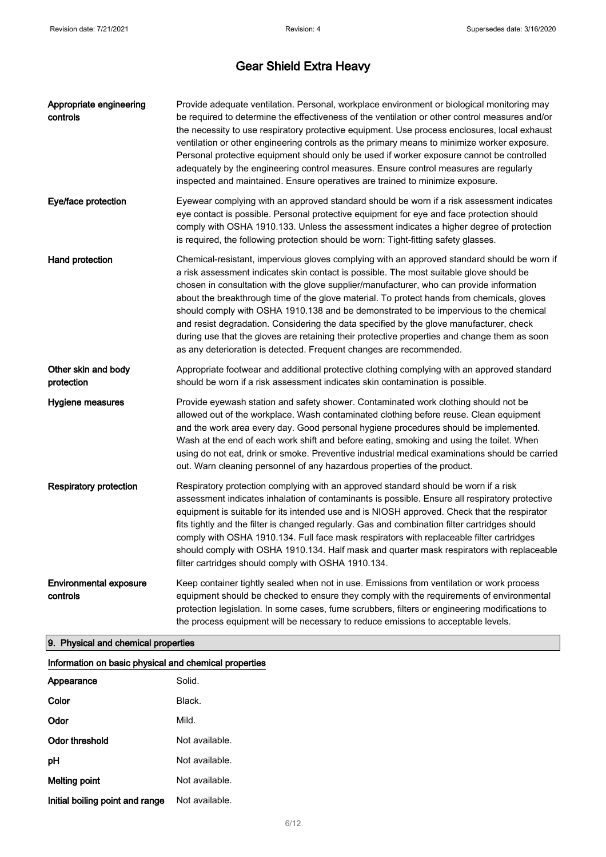| Appropriate engineering<br>controls       | Provide adequate ventilation. Personal, workplace environment or biological monitoring may<br>be required to determine the effectiveness of the ventilation or other control measures and/or<br>the necessity to use respiratory protective equipment. Use process enclosures, local exhaust<br>ventilation or other engineering controls as the primary means to minimize worker exposure.<br>Personal protective equipment should only be used if worker exposure cannot be controlled<br>adequately by the engineering control measures. Ensure control measures are regularly<br>inspected and maintained. Ensure operatives are trained to minimize exposure.                                                                          |
|-------------------------------------------|---------------------------------------------------------------------------------------------------------------------------------------------------------------------------------------------------------------------------------------------------------------------------------------------------------------------------------------------------------------------------------------------------------------------------------------------------------------------------------------------------------------------------------------------------------------------------------------------------------------------------------------------------------------------------------------------------------------------------------------------|
| Eye/face protection                       | Eyewear complying with an approved standard should be worn if a risk assessment indicates<br>eye contact is possible. Personal protective equipment for eye and face protection should<br>comply with OSHA 1910.133. Unless the assessment indicates a higher degree of protection<br>is required, the following protection should be worn: Tight-fitting safety glasses.                                                                                                                                                                                                                                                                                                                                                                   |
| Hand protection                           | Chemical-resistant, impervious gloves complying with an approved standard should be worn if<br>a risk assessment indicates skin contact is possible. The most suitable glove should be<br>chosen in consultation with the glove supplier/manufacturer, who can provide information<br>about the breakthrough time of the glove material. To protect hands from chemicals, gloves<br>should comply with OSHA 1910.138 and be demonstrated to be impervious to the chemical<br>and resist degradation. Considering the data specified by the glove manufacturer, check<br>during use that the gloves are retaining their protective properties and change them as soon<br>as any deterioration is detected. Frequent changes are recommended. |
| Other skin and body<br>protection         | Appropriate footwear and additional protective clothing complying with an approved standard<br>should be worn if a risk assessment indicates skin contamination is possible.                                                                                                                                                                                                                                                                                                                                                                                                                                                                                                                                                                |
| Hygiene measures                          | Provide eyewash station and safety shower. Contaminated work clothing should not be<br>allowed out of the workplace. Wash contaminated clothing before reuse. Clean equipment<br>and the work area every day. Good personal hygiene procedures should be implemented.<br>Wash at the end of each work shift and before eating, smoking and using the toilet. When<br>using do not eat, drink or smoke. Preventive industrial medical examinations should be carried<br>out. Warn cleaning personnel of any hazardous properties of the product.                                                                                                                                                                                             |
| <b>Respiratory protection</b>             | Respiratory protection complying with an approved standard should be worn if a risk<br>assessment indicates inhalation of contaminants is possible. Ensure all respiratory protective<br>equipment is suitable for its intended use and is NIOSH approved. Check that the respirator<br>fits tightly and the filter is changed regularly. Gas and combination filter cartridges should<br>comply with OSHA 1910.134. Full face mask respirators with replaceable filter cartridges<br>should comply with OSHA 1910.134. Half mask and quarter mask respirators with replaceable<br>filter cartridges should comply with OSHA 1910.134.                                                                                                      |
| <b>Environmental exposure</b><br>controls | Keep container tightly sealed when not in use. Emissions from ventilation or work process<br>equipment should be checked to ensure they comply with the requirements of environmental<br>protection legislation. In some cases, fume scrubbers, filters or engineering modifications to<br>the process equipment will be necessary to reduce emissions to acceptable levels.                                                                                                                                                                                                                                                                                                                                                                |

### 9. Physical and chemical properties

| Information on basic physical and chemical properties |                |  |
|-------------------------------------------------------|----------------|--|
| Appearance                                            | Solid.         |  |
| Color                                                 | Black.         |  |
| Odor                                                  | Mild.          |  |
| Odor threshold                                        | Not available. |  |
| рH                                                    | Not available. |  |
| <b>Melting point</b>                                  | Not available. |  |
| Initial boiling point and range                       | Not available. |  |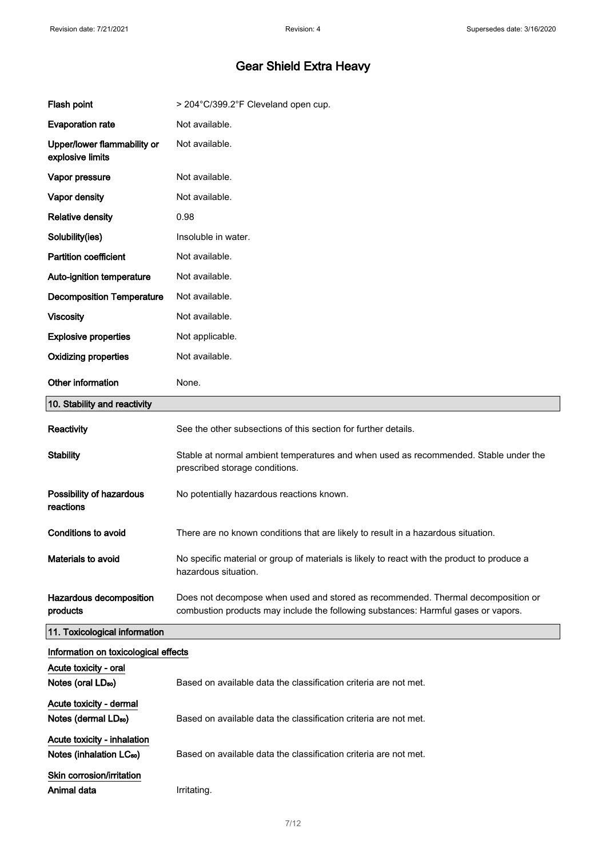| Flash point                                                         | > 204°C/399.2°F Cleveland open cup.                                                                                                                                    |
|---------------------------------------------------------------------|------------------------------------------------------------------------------------------------------------------------------------------------------------------------|
| <b>Evaporation rate</b>                                             | Not available.                                                                                                                                                         |
| Upper/lower flammability or<br>explosive limits                     | Not available.                                                                                                                                                         |
| Vapor pressure                                                      | Not available.                                                                                                                                                         |
| Vapor density                                                       | Not available.                                                                                                                                                         |
| <b>Relative density</b>                                             | 0.98                                                                                                                                                                   |
| Solubility(ies)                                                     | Insoluble in water.                                                                                                                                                    |
| <b>Partition coefficient</b>                                        | Not available.                                                                                                                                                         |
| Auto-ignition temperature                                           | Not available.                                                                                                                                                         |
| <b>Decomposition Temperature</b>                                    | Not available.                                                                                                                                                         |
| <b>Viscosity</b>                                                    | Not available.                                                                                                                                                         |
| <b>Explosive properties</b>                                         | Not applicable.                                                                                                                                                        |
| <b>Oxidizing properties</b>                                         | Not available.                                                                                                                                                         |
| Other information                                                   | None.                                                                                                                                                                  |
| 10. Stability and reactivity                                        |                                                                                                                                                                        |
| Reactivity                                                          | See the other subsections of this section for further details.                                                                                                         |
| <b>Stability</b>                                                    | Stable at normal ambient temperatures and when used as recommended. Stable under the<br>prescribed storage conditions.                                                 |
| Possibility of hazardous<br>reactions                               | No potentially hazardous reactions known.                                                                                                                              |
| <b>Conditions to avoid</b>                                          | There are no known conditions that are likely to result in a hazardous situation.                                                                                      |
| Materials to avoid                                                  | No specific material or group of materials is likely to react with the product to produce a<br>hazardous situation.                                                    |
| Hazardous decomposition<br>products                                 | Does not decompose when used and stored as recommended. Thermal decomposition or<br>combustion products may include the following substances: Harmful gases or vapors. |
| 11. Toxicological information                                       |                                                                                                                                                                        |
| Information on toxicological effects                                |                                                                                                                                                                        |
| Acute toxicity - oral<br>Notes (oral LD <sub>50</sub> )             | Based on available data the classification criteria are not met.                                                                                                       |
| Acute toxicity - dermal<br>Notes (dermal LD <sub>50</sub> )         | Based on available data the classification criteria are not met.                                                                                                       |
| Acute toxicity - inhalation<br>Notes (inhalation LC <sub>50</sub> ) | Based on available data the classification criteria are not met.                                                                                                       |
| Skin corrosion/irritation<br>Animal data                            | Irritating.                                                                                                                                                            |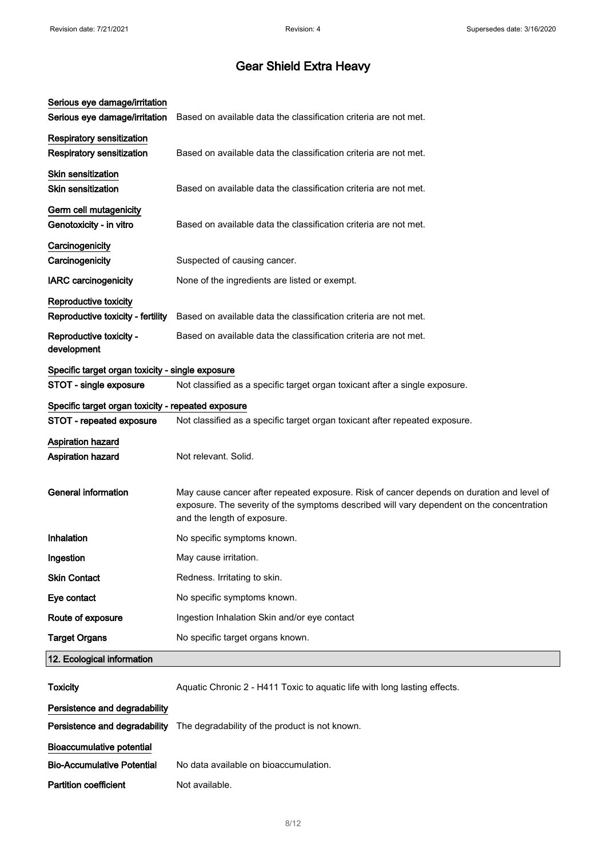| Serious eye damage/irritation                                        |                                                                                                                                                                                                                       |
|----------------------------------------------------------------------|-----------------------------------------------------------------------------------------------------------------------------------------------------------------------------------------------------------------------|
| Serious eye damage/irritation                                        | Based on available data the classification criteria are not met.                                                                                                                                                      |
| <b>Respiratory sensitization</b><br><b>Respiratory sensitization</b> | Based on available data the classification criteria are not met.                                                                                                                                                      |
| <b>Skin sensitization</b><br><b>Skin sensitization</b>               | Based on available data the classification criteria are not met.                                                                                                                                                      |
| Germ cell mutagenicity<br>Genotoxicity - in vitro                    | Based on available data the classification criteria are not met.                                                                                                                                                      |
| Carcinogenicity<br>Carcinogenicity                                   | Suspected of causing cancer.                                                                                                                                                                                          |
| <b>IARC</b> carcinogenicity                                          | None of the ingredients are listed or exempt.                                                                                                                                                                         |
| Reproductive toxicity<br>Reproductive toxicity - fertility           | Based on available data the classification criteria are not met.                                                                                                                                                      |
| Reproductive toxicity -<br>development                               | Based on available data the classification criteria are not met.                                                                                                                                                      |
| Specific target organ toxicity - single exposure                     |                                                                                                                                                                                                                       |
| STOT - single exposure                                               | Not classified as a specific target organ toxicant after a single exposure.                                                                                                                                           |
| Specific target organ toxicity - repeated exposure                   |                                                                                                                                                                                                                       |
| STOT - repeated exposure                                             | Not classified as a specific target organ toxicant after repeated exposure.                                                                                                                                           |
| <b>Aspiration hazard</b><br><b>Aspiration hazard</b>                 | Not relevant. Solid.                                                                                                                                                                                                  |
| <b>General information</b>                                           | May cause cancer after repeated exposure. Risk of cancer depends on duration and level of<br>exposure. The severity of the symptoms described will vary dependent on the concentration<br>and the length of exposure. |
| Inhalation                                                           | No specific symptoms known.                                                                                                                                                                                           |
| Ingestion                                                            | May cause irritation.                                                                                                                                                                                                 |
| <b>Skin Contact</b>                                                  | Redness. Irritating to skin.                                                                                                                                                                                          |
| Eye contact                                                          | No specific symptoms known.                                                                                                                                                                                           |
| Route of exposure                                                    | Ingestion Inhalation Skin and/or eye contact                                                                                                                                                                          |
| <b>Target Organs</b>                                                 | No specific target organs known.                                                                                                                                                                                      |
| 12. Ecological information                                           |                                                                                                                                                                                                                       |
| <b>Toxicity</b>                                                      | Aquatic Chronic 2 - H411 Toxic to aquatic life with long lasting effects.                                                                                                                                             |
| Persistence and degradability                                        |                                                                                                                                                                                                                       |
| Persistence and degradability                                        | The degradability of the product is not known.                                                                                                                                                                        |
| <b>Bioaccumulative potential</b>                                     |                                                                                                                                                                                                                       |
| <b>Bio-Accumulative Potential</b>                                    | No data available on bioaccumulation.                                                                                                                                                                                 |
| <b>Partition coefficient</b>                                         | Not available.                                                                                                                                                                                                        |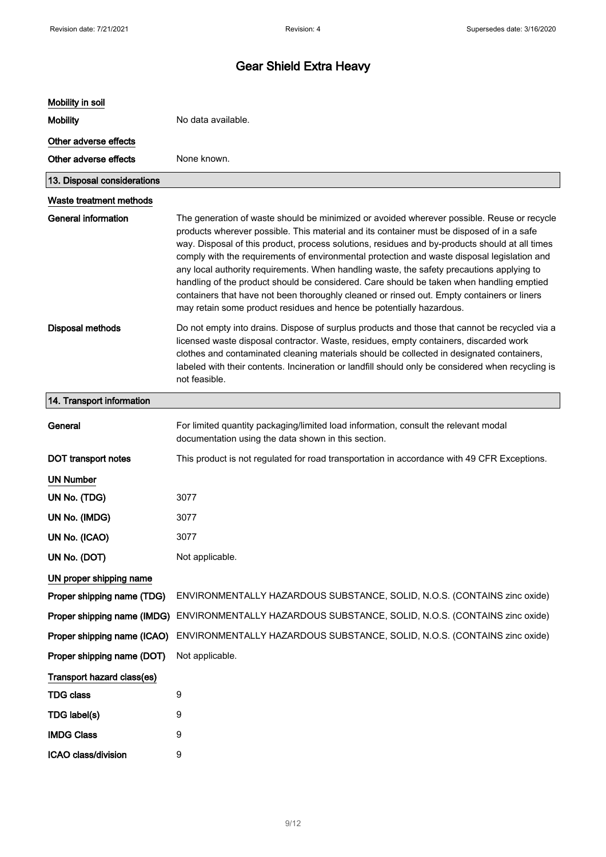| Mobility in soil            |                                                                                                                                                                                                                                                                                                                                                                                                                                                                                                                                                                                                                                                                                                                                                         |
|-----------------------------|---------------------------------------------------------------------------------------------------------------------------------------------------------------------------------------------------------------------------------------------------------------------------------------------------------------------------------------------------------------------------------------------------------------------------------------------------------------------------------------------------------------------------------------------------------------------------------------------------------------------------------------------------------------------------------------------------------------------------------------------------------|
| <b>Mobility</b>             | No data available.                                                                                                                                                                                                                                                                                                                                                                                                                                                                                                                                                                                                                                                                                                                                      |
| Other adverse effects       |                                                                                                                                                                                                                                                                                                                                                                                                                                                                                                                                                                                                                                                                                                                                                         |
| Other adverse effects       | None known.                                                                                                                                                                                                                                                                                                                                                                                                                                                                                                                                                                                                                                                                                                                                             |
| 13. Disposal considerations |                                                                                                                                                                                                                                                                                                                                                                                                                                                                                                                                                                                                                                                                                                                                                         |
| Waste treatment methods     |                                                                                                                                                                                                                                                                                                                                                                                                                                                                                                                                                                                                                                                                                                                                                         |
| <b>General information</b>  | The generation of waste should be minimized or avoided wherever possible. Reuse or recycle<br>products wherever possible. This material and its container must be disposed of in a safe<br>way. Disposal of this product, process solutions, residues and by-products should at all times<br>comply with the requirements of environmental protection and waste disposal legislation and<br>any local authority requirements. When handling waste, the safety precautions applying to<br>handling of the product should be considered. Care should be taken when handling emptied<br>containers that have not been thoroughly cleaned or rinsed out. Empty containers or liners<br>may retain some product residues and hence be potentially hazardous. |
| <b>Disposal methods</b>     | Do not empty into drains. Dispose of surplus products and those that cannot be recycled via a<br>licensed waste disposal contractor. Waste, residues, empty containers, discarded work<br>clothes and contaminated cleaning materials should be collected in designated containers,<br>labeled with their contents. Incineration or landfill should only be considered when recycling is<br>not feasible.                                                                                                                                                                                                                                                                                                                                               |
| 14. Transport information   |                                                                                                                                                                                                                                                                                                                                                                                                                                                                                                                                                                                                                                                                                                                                                         |
| General                     | For limited quantity packaging/limited load information, consult the relevant modal<br>documentation using the data shown in this section.                                                                                                                                                                                                                                                                                                                                                                                                                                                                                                                                                                                                              |
| <b>DOT</b> transport notes  | This product is not regulated for road transportation in accordance with 49 CFR Exceptions.                                                                                                                                                                                                                                                                                                                                                                                                                                                                                                                                                                                                                                                             |
| <b>UN Number</b>            |                                                                                                                                                                                                                                                                                                                                                                                                                                                                                                                                                                                                                                                                                                                                                         |
| UN No. (TDG)                | 3077                                                                                                                                                                                                                                                                                                                                                                                                                                                                                                                                                                                                                                                                                                                                                    |
| UN No. (IMDG)               | 3077                                                                                                                                                                                                                                                                                                                                                                                                                                                                                                                                                                                                                                                                                                                                                    |
| UN No. (ICAO)               | 3077                                                                                                                                                                                                                                                                                                                                                                                                                                                                                                                                                                                                                                                                                                                                                    |
| UN No. (DOT)                | Not applicable.                                                                                                                                                                                                                                                                                                                                                                                                                                                                                                                                                                                                                                                                                                                                         |
| UN proper shipping name     |                                                                                                                                                                                                                                                                                                                                                                                                                                                                                                                                                                                                                                                                                                                                                         |
| Proper shipping name (TDG)  | ENVIRONMENTALLY HAZARDOUS SUBSTANCE, SOLID, N.O.S. (CONTAINS zinc oxide)                                                                                                                                                                                                                                                                                                                                                                                                                                                                                                                                                                                                                                                                                |
| Proper shipping name (IMDG) | ENVIRONMENTALLY HAZARDOUS SUBSTANCE, SOLID, N.O.S. (CONTAINS zinc oxide)                                                                                                                                                                                                                                                                                                                                                                                                                                                                                                                                                                                                                                                                                |
| Proper shipping name (ICAO) | ENVIRONMENTALLY HAZARDOUS SUBSTANCE, SOLID, N.O.S. (CONTAINS zinc oxide)                                                                                                                                                                                                                                                                                                                                                                                                                                                                                                                                                                                                                                                                                |
| Proper shipping name (DOT)  | Not applicable.                                                                                                                                                                                                                                                                                                                                                                                                                                                                                                                                                                                                                                                                                                                                         |
| Transport hazard class(es)  |                                                                                                                                                                                                                                                                                                                                                                                                                                                                                                                                                                                                                                                                                                                                                         |
| <b>TDG class</b>            | 9                                                                                                                                                                                                                                                                                                                                                                                                                                                                                                                                                                                                                                                                                                                                                       |
| TDG label(s)                | 9                                                                                                                                                                                                                                                                                                                                                                                                                                                                                                                                                                                                                                                                                                                                                       |
| <b>IMDG Class</b>           | 9                                                                                                                                                                                                                                                                                                                                                                                                                                                                                                                                                                                                                                                                                                                                                       |
| ICAO class/division         | 9                                                                                                                                                                                                                                                                                                                                                                                                                                                                                                                                                                                                                                                                                                                                                       |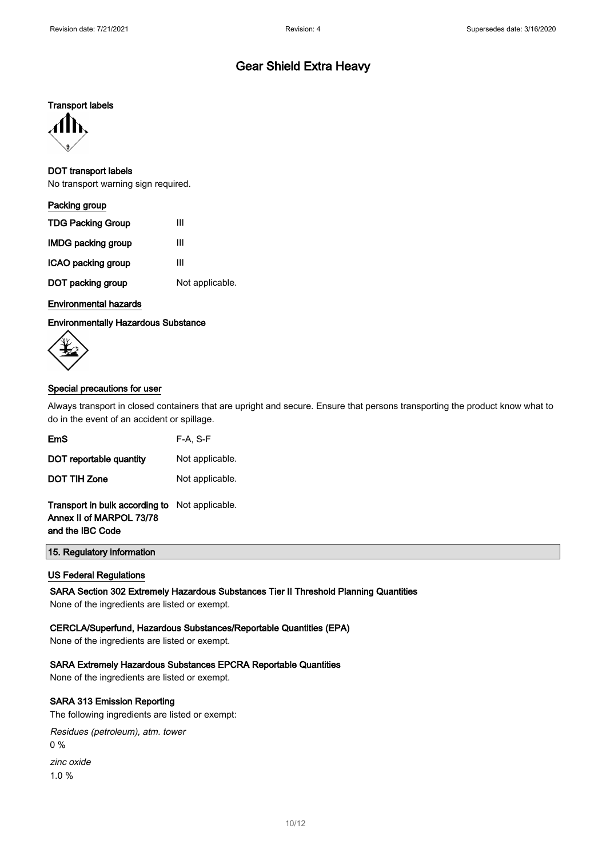#### Transport labels



#### DOT transport labels

No transport warning sign required.

| Packing group             |                 |
|---------------------------|-----------------|
| <b>TDG Packing Group</b>  | Ш               |
| <b>IMDG packing group</b> | Ш               |
| ICAO packing group        | Ш               |
| DOT packing group         | Not applicable. |
|                           |                 |

#### Environmental hazards

Environmentally Hazardous Substance



#### Special precautions for user

Always transport in closed containers that are upright and secure. Ensure that persons transporting the product know what to do in the event of an accident or spillage.

| EmS                                                                                                   | $F-A, S-F$      |
|-------------------------------------------------------------------------------------------------------|-----------------|
| DOT reportable quantity                                                                               | Not applicable. |
| <b>DOT TIH Zone</b>                                                                                   | Not applicable. |
| <b>Transport in bulk according to</b> Not applicable.<br>Annex II of MARPOL 73/78<br>and the IBC Code |                 |

15. Regulatory information

#### US Federal Regulations

SARA Section 302 Extremely Hazardous Substances Tier II Threshold Planning Quantities

None of the ingredients are listed or exempt.

#### CERCLA/Superfund, Hazardous Substances/Reportable Quantities (EPA)

None of the ingredients are listed or exempt.

#### SARA Extremely Hazardous Substances EPCRA Reportable Quantities

None of the ingredients are listed or exempt.

#### SARA 313 Emission Reporting

The following ingredients are listed or exempt:

Residues (petroleum), atm. tower 0 % zinc oxide

1.0 %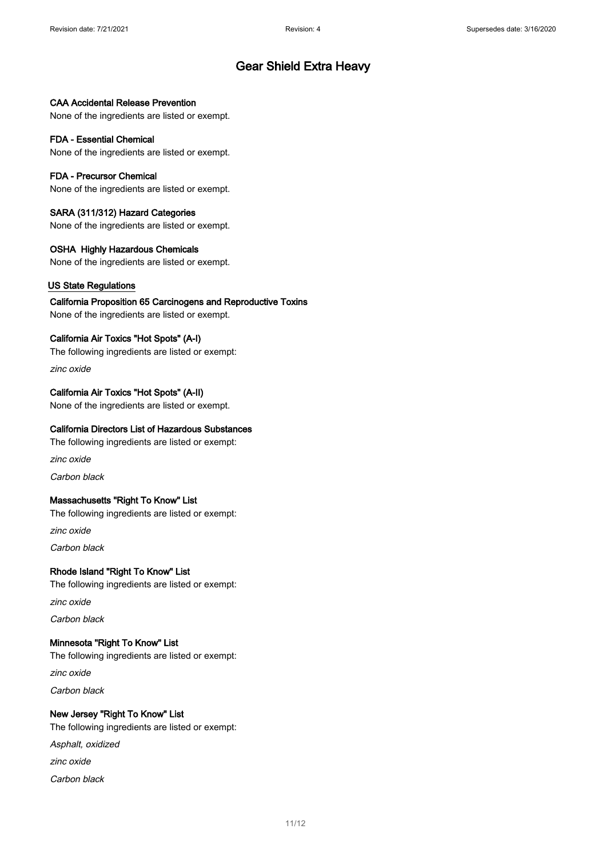#### CAA Accidental Release Prevention

None of the ingredients are listed or exempt.

#### FDA - Essential Chemical

None of the ingredients are listed or exempt.

#### FDA - Precursor Chemical

None of the ingredients are listed or exempt.

#### SARA (311/312) Hazard Categories

None of the ingredients are listed or exempt.

#### OSHA Highly Hazardous Chemicals

None of the ingredients are listed or exempt.

#### US State Regulations

California Proposition 65 Carcinogens and Reproductive Toxins None of the ingredients are listed or exempt.

#### California Air Toxics "Hot Spots" (A-I)

The following ingredients are listed or exempt:

zinc oxide

#### California Air Toxics "Hot Spots" (A-II)

None of the ingredients are listed or exempt.

#### California Directors List of Hazardous Substances

The following ingredients are listed or exempt:

zinc oxide

Carbon black

#### Massachusetts "Right To Know" List

The following ingredients are listed or exempt:

zinc oxide

Carbon black

#### Rhode Island "Right To Know" List

The following ingredients are listed or exempt:

zinc oxide

Carbon black

#### Minnesota "Right To Know" List

The following ingredients are listed or exempt: zinc oxide Carbon black

#### New Jersey "Right To Know" List

The following ingredients are listed or exempt: Asphalt, oxidized zinc oxide Carbon black